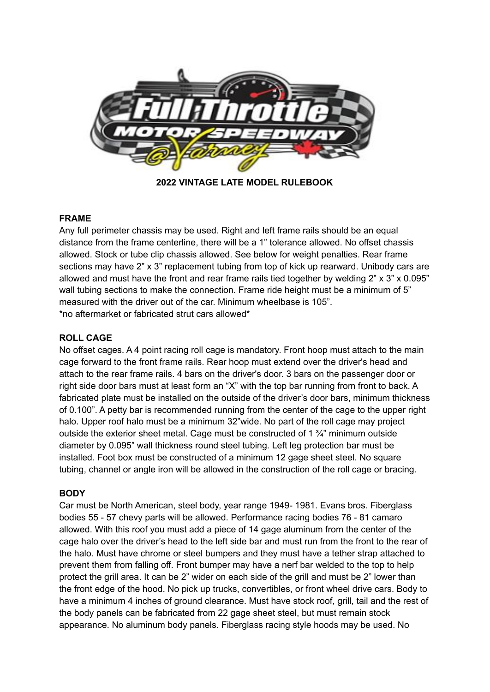

**2022 VINTAGE LATE MODEL RULEBOOK**

## **FRAME**

Any full perimeter chassis may be used. Right and left frame rails should be an equal distance from the frame centerline, there will be a 1" tolerance allowed. No offset chassis allowed. Stock or tube clip chassis allowed. See below for weight penalties. Rear frame sections may have 2" x 3" replacement tubing from top of kick up rearward. Unibody cars are allowed and must have the front and rear frame rails tied together by welding  $2" \times 3" \times 0.095"$ wall tubing sections to make the connection. Frame ride height must be a minimum of 5" measured with the driver out of the car. Minimum wheelbase is 105". \*no aftermarket or fabricated strut cars allowed\*

# **ROLL CAGE**

No offset cages. A 4 point racing roll cage is mandatory. Front hoop must attach to the main cage forward to the front frame rails. Rear hoop must extend over the driver's head and attach to the rear frame rails. 4 bars on the driver's door. 3 bars on the passenger door or right side door bars must at least form an "X" with the top bar running from front to back. A fabricated plate must be installed on the outside of the driver's door bars, minimum thickness of 0.100". A petty bar is recommended running from the center of the cage to the upper right halo. Upper roof halo must be a minimum 32"wide. No part of the roll cage may project outside the exterior sheet metal. Cage must be constructed of 1  $\frac{3}{4}$ " minimum outside diameter by 0.095" wall thickness round steel tubing. Left leg protection bar must be installed. Foot box must be constructed of a minimum 12 gage sheet steel. No square tubing, channel or angle iron will be allowed in the construction of the roll cage or bracing.

### **BODY**

Car must be North American, steel body, year range 1949- 1981. Evans bros. Fiberglass bodies 55 - 57 chevy parts will be allowed. Performance racing bodies 76 - 81 camaro allowed. With this roof you must add a piece of 14 gage aluminum from the center of the cage halo over the driver's head to the left side bar and must run from the front to the rear of the halo. Must have chrome or steel bumpers and they must have a tether strap attached to prevent them from falling off. Front bumper may have a nerf bar welded to the top to help protect the grill area. It can be 2" wider on each side of the grill and must be 2" lower than the front edge of the hood. No pick up trucks, convertibles, or front wheel drive cars. Body to have a minimum 4 inches of ground clearance. Must have stock roof, grill, tail and the rest of the body panels can be fabricated from 22 gage sheet steel, but must remain stock appearance. No aluminum body panels. Fiberglass racing style hoods may be used. No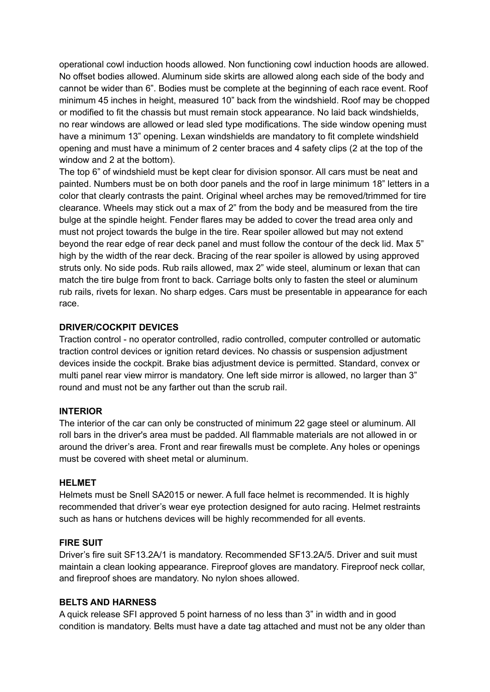operational cowl induction hoods allowed. Non functioning cowl induction hoods are allowed. No offset bodies allowed. Aluminum side skirts are allowed along each side of the body and cannot be wider than 6". Bodies must be complete at the beginning of each race event. Roof minimum 45 inches in height, measured 10" back from the windshield. Roof may be chopped or modified to fit the chassis but must remain stock appearance. No laid back windshields, no rear windows are allowed or lead sled type modifications. The side window opening must have a minimum 13" opening. Lexan windshields are mandatory to fit complete windshield opening and must have a minimum of 2 center braces and 4 safety clips (2 at the top of the window and 2 at the bottom).

The top 6" of windshield must be kept clear for division sponsor. All cars must be neat and painted. Numbers must be on both door panels and the roof in large minimum 18" letters in a color that clearly contrasts the paint. Original wheel arches may be removed/trimmed for tire clearance. Wheels may stick out a max of 2" from the body and be measured from the tire bulge at the spindle height. Fender flares may be added to cover the tread area only and must not project towards the bulge in the tire. Rear spoiler allowed but may not extend beyond the rear edge of rear deck panel and must follow the contour of the deck lid. Max 5" high by the width of the rear deck. Bracing of the rear spoiler is allowed by using approved struts only. No side pods. Rub rails allowed, max 2" wide steel, aluminum or lexan that can match the tire bulge from front to back. Carriage bolts only to fasten the steel or aluminum rub rails, rivets for lexan. No sharp edges. Cars must be presentable in appearance for each race.

### **DRIVER/COCKPIT DEVICES**

Traction control - no operator controlled, radio controlled, computer controlled or automatic traction control devices or ignition retard devices. No chassis or suspension adjustment devices inside the cockpit. Brake bias adjustment device is permitted. Standard, convex or multi panel rear view mirror is mandatory. One left side mirror is allowed, no larger than 3" round and must not be any farther out than the scrub rail.

#### **INTERIOR**

The interior of the car can only be constructed of minimum 22 gage steel or aluminum. All roll bars in the driver's area must be padded. All flammable materials are not allowed in or around the driver's area. Front and rear firewalls must be complete. Any holes or openings must be covered with sheet metal or aluminum.

#### **HELMET**

Helmets must be Snell SA2015 or newer. A full face helmet is recommended. It is highly recommended that driver's wear eye protection designed for auto racing. Helmet restraints such as hans or hutchens devices will be highly recommended for all events.

#### **FIRE SUIT**

Driver's fire suit SF13.2A/1 is mandatory. Recommended SF13.2A/5. Driver and suit must maintain a clean looking appearance. Fireproof gloves are mandatory. Fireproof neck collar, and fireproof shoes are mandatory. No nylon shoes allowed.

#### **BELTS AND HARNESS**

A quick release SFI approved 5 point harness of no less than 3" in width and in good condition is mandatory. Belts must have a date tag attached and must not be any older than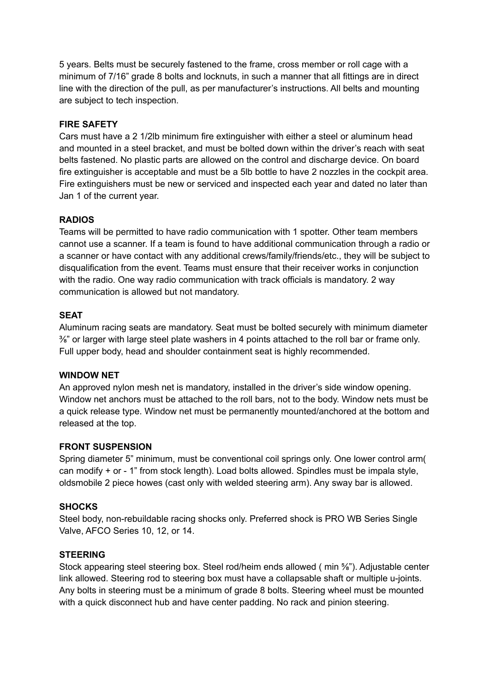5 years. Belts must be securely fastened to the frame, cross member or roll cage with a minimum of 7/16" grade 8 bolts and locknuts, in such a manner that all fittings are in direct line with the direction of the pull, as per manufacturer's instructions. All belts and mounting are subject to tech inspection.

## **FIRE SAFETY**

Cars must have a 2 1/2lb minimum fire extinguisher with either a steel or aluminum head and mounted in a steel bracket, and must be bolted down within the driver's reach with seat belts fastened. No plastic parts are allowed on the control and discharge device. On board fire extinguisher is acceptable and must be a 5lb bottle to have 2 nozzles in the cockpit area. Fire extinguishers must be new or serviced and inspected each year and dated no later than Jan 1 of the current year.

### **RADIOS**

Teams will be permitted to have radio communication with 1 spotter. Other team members cannot use a scanner. If a team is found to have additional communication through a radio or a scanner or have contact with any additional crews/family/friends/etc., they will be subject to disqualification from the event. Teams must ensure that their receiver works in conjunction with the radio. One way radio communication with track officials is mandatory. 2 way communication is allowed but not mandatory.

## **SEAT**

Aluminum racing seats are mandatory. Seat must be bolted securely with minimum diameter ⅜" or larger with large steel plate washers in 4 points attached to the roll bar or frame only. Full upper body, head and shoulder containment seat is highly recommended.

### **WINDOW NET**

An approved nylon mesh net is mandatory, installed in the driver's side window opening. Window net anchors must be attached to the roll bars, not to the body. Window nets must be a quick release type. Window net must be permanently mounted/anchored at the bottom and released at the top.

### **FRONT SUSPENSION**

Spring diameter 5" minimum, must be conventional coil springs only. One lower control arm( can modify + or - 1" from stock length). Load bolts allowed. Spindles must be impala style, oldsmobile 2 piece howes (cast only with welded steering arm). Any sway bar is allowed.

### **SHOCKS**

Steel body, non-rebuildable racing shocks only. Preferred shock is PRO WB Series Single Valve, AFCO Series 10, 12, or 14.

## **STEERING**

Stock appearing steel steering box. Steel rod/heim ends allowed ( min ⅝"). Adjustable center link allowed. Steering rod to steering box must have a collapsable shaft or multiple u-joints. Any bolts in steering must be a minimum of grade 8 bolts. Steering wheel must be mounted with a quick disconnect hub and have center padding. No rack and pinion steering.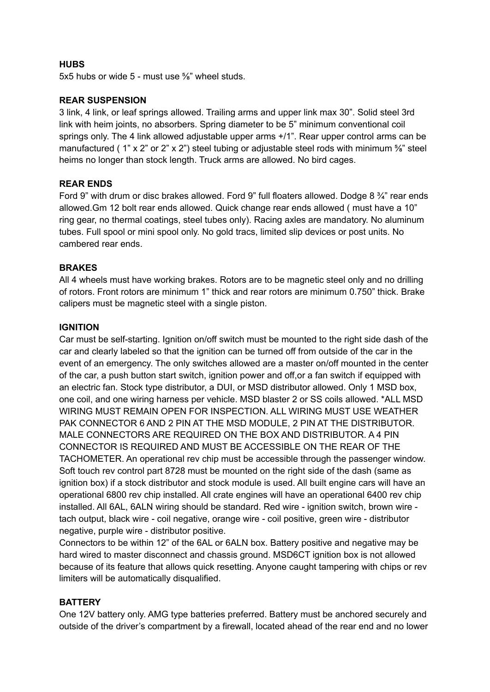## **HUBS**

5x5 hubs or wide 5 - must use ⅝" wheel studs.

## **REAR SUSPENSION**

3 link, 4 link, or leaf springs allowed. Trailing arms and upper link max 30". Solid steel 3rd link with heim joints, no absorbers. Spring diameter to be 5" minimum conventional coil springs only. The 4 link allowed adjustable upper arms +/1". Rear upper control arms can be manufactured (1" x 2" or 2" x 2") steel tubing or adjustable steel rods with minimum <sup>5</sup>/<sub>8</sub>" steel heims no longer than stock length. Truck arms are allowed. No bird cages.

## **REAR ENDS**

Ford 9" with drum or disc brakes allowed. Ford 9" full floaters allowed. Dodge 8  $\frac{3}{4}$ " rear ends allowed.Gm 12 bolt rear ends allowed. Quick change rear ends allowed ( must have a 10" ring gear, no thermal coatings, steel tubes only). Racing axles are mandatory. No aluminum tubes. Full spool or mini spool only. No gold tracs, limited slip devices or post units. No cambered rear ends.

### **BRAKES**

All 4 wheels must have working brakes. Rotors are to be magnetic steel only and no drilling of rotors. Front rotors are minimum 1" thick and rear rotors are minimum 0.750" thick. Brake calipers must be magnetic steel with a single piston.

### **IGNITION**

Car must be self-starting. Ignition on/off switch must be mounted to the right side dash of the car and clearly labeled so that the ignition can be turned off from outside of the car in the event of an emergency. The only switches allowed are a master on/off mounted in the center of the car, a push button start switch, ignition power and off,or a fan switch if equipped with an electric fan. Stock type distributor, a DUI, or MSD distributor allowed. Only 1 MSD box, one coil, and one wiring harness per vehicle. MSD blaster 2 or SS coils allowed. \*ALL MSD WIRING MUST REMAIN OPEN FOR INSPECTION. ALL WIRING MUST USE WEATHER PAK CONNECTOR 6 AND 2 PIN AT THE MSD MODULE, 2 PIN AT THE DISTRIBUTOR. MALE CONNECTORS ARE REQUIRED ON THE BOX AND DISTRIBUTOR. A 4 PIN CONNECTOR IS REQUIRED AND MUST BE ACCESSIBLE ON THE REAR OF THE TACHOMETER. An operational rev chip must be accessible through the passenger window. Soft touch rev control part 8728 must be mounted on the right side of the dash (same as ignition box) if a stock distributor and stock module is used. All built engine cars will have an operational 6800 rev chip installed. All crate engines will have an operational 6400 rev chip installed. All 6AL, 6ALN wiring should be standard. Red wire - ignition switch, brown wire tach output, black wire - coil negative, orange wire - coil positive, green wire - distributor negative, purple wire - distributor positive.

Connectors to be within 12" of the 6AL or 6ALN box. Battery positive and negative may be hard wired to master disconnect and chassis ground. MSD6CT ignition box is not allowed because of its feature that allows quick resetting. Anyone caught tampering with chips or rev limiters will be automatically disqualified.

# **BATTERY**

One 12V battery only. AMG type batteries preferred. Battery must be anchored securely and outside of the driver's compartment by a firewall, located ahead of the rear end and no lower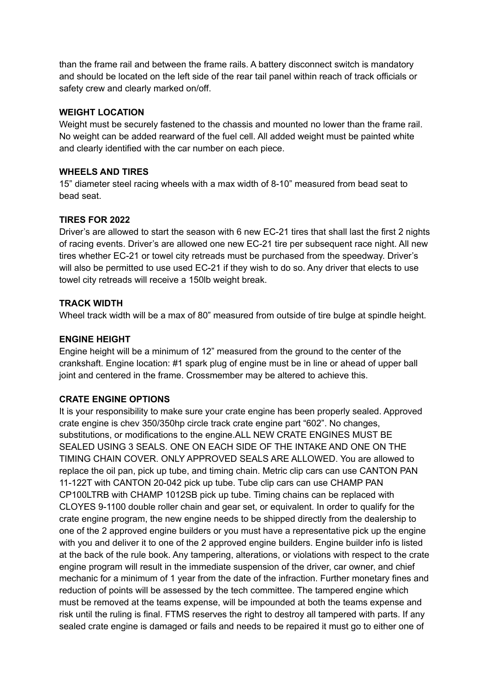than the frame rail and between the frame rails. A battery disconnect switch is mandatory and should be located on the left side of the rear tail panel within reach of track officials or safety crew and clearly marked on/off.

## **WEIGHT LOCATION**

Weight must be securely fastened to the chassis and mounted no lower than the frame rail. No weight can be added rearward of the fuel cell. All added weight must be painted white and clearly identified with the car number on each piece.

### **WHEELS AND TIRES**

15" diameter steel racing wheels with a max width of 8-10" measured from bead seat to bead seat.

## **TIRES FOR 2022**

Driver's are allowed to start the season with 6 new EC-21 tires that shall last the first 2 nights of racing events. Driver's are allowed one new EC-21 tire per subsequent race night. All new tires whether EC-21 or towel city retreads must be purchased from the speedway. Driver's will also be permitted to use used EC-21 if they wish to do so. Any driver that elects to use towel city retreads will receive a 150lb weight break.

## **TRACK WIDTH**

Wheel track width will be a max of 80" measured from outside of tire bulge at spindle height.

## **ENGINE HEIGHT**

Engine height will be a minimum of 12" measured from the ground to the center of the crankshaft. Engine location: #1 spark plug of engine must be in line or ahead of upper ball joint and centered in the frame. Crossmember may be altered to achieve this.

# **CRATE ENGINE OPTIONS**

It is your responsibility to make sure your crate engine has been properly sealed. Approved crate engine is chev 350/350hp circle track crate engine part "602". No changes, substitutions, or modifications to the engine.ALL NEW CRATE ENGINES MUST BE SEALED USING 3 SEALS. ONE ON EACH SIDE OF THE INTAKE AND ONE ON THE TIMING CHAIN COVER. ONLY APPROVED SEALS ARE ALLOWED. You are allowed to replace the oil pan, pick up tube, and timing chain. Metric clip cars can use CANTON PAN 11-122T with CANTON 20-042 pick up tube. Tube clip cars can use CHAMP PAN CP100LTRB with CHAMP 1012SB pick up tube. Timing chains can be replaced with CLOYES 9-1100 double roller chain and gear set, or equivalent. In order to qualify for the crate engine program, the new engine needs to be shipped directly from the dealership to one of the 2 approved engine builders or you must have a representative pick up the engine with you and deliver it to one of the 2 approved engine builders. Engine builder info is listed at the back of the rule book. Any tampering, alterations, or violations with respect to the crate engine program will result in the immediate suspension of the driver, car owner, and chief mechanic for a minimum of 1 year from the date of the infraction. Further monetary fines and reduction of points will be assessed by the tech committee. The tampered engine which must be removed at the teams expense, will be impounded at both the teams expense and risk until the ruling is final. FTMS reserves the right to destroy all tampered with parts. If any sealed crate engine is damaged or fails and needs to be repaired it must go to either one of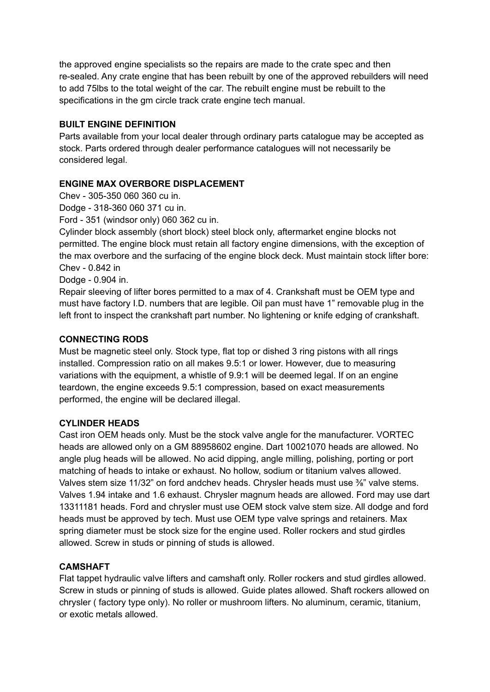the approved engine specialists so the repairs are made to the crate spec and then re-sealed. Any crate engine that has been rebuilt by one of the approved rebuilders will need to add 75lbs to the total weight of the car. The rebuilt engine must be rebuilt to the specifications in the gm circle track crate engine tech manual.

## **BUILT ENGINE DEFINITION**

Parts available from your local dealer through ordinary parts catalogue may be accepted as stock. Parts ordered through dealer performance catalogues will not necessarily be considered legal.

# **ENGINE MAX OVERBORE DISPLACEMENT**

Chev - 305-350 060 360 cu in.

Dodge - 318-360 060 371 cu in.

Ford - 351 (windsor only) 060 362 cu in.

Cylinder block assembly (short block) steel block only, aftermarket engine blocks not permitted. The engine block must retain all factory engine dimensions, with the exception of the max overbore and the surfacing of the engine block deck. Must maintain stock lifter bore: Chev - 0.842 in

Dodge - 0.904 in.

Repair sleeving of lifter bores permitted to a max of 4. Crankshaft must be OEM type and must have factory I.D. numbers that are legible. Oil pan must have 1" removable plug in the left front to inspect the crankshaft part number. No lightening or knife edging of crankshaft.

### **CONNECTING RODS**

Must be magnetic steel only. Stock type, flat top or dished 3 ring pistons with all rings installed. Compression ratio on all makes 9.5:1 or lower. However, due to measuring variations with the equipment, a whistle of 9.9:1 will be deemed legal. If on an engine teardown, the engine exceeds 9.5:1 compression, based on exact measurements performed, the engine will be declared illegal.

### **CYLINDER HEADS**

Cast iron OEM heads only. Must be the stock valve angle for the manufacturer. VORTEC heads are allowed only on a GM 88958602 engine. Dart 10021070 heads are allowed. No angle plug heads will be allowed. No acid dipping, angle milling, polishing, porting or port matching of heads to intake or exhaust. No hollow, sodium or titanium valves allowed. Valves stem size 11/32" on ford andchev heads. Chrysler heads must use <sup>3</sup>%" valve stems. Valves 1.94 intake and 1.6 exhaust. Chrysler magnum heads are allowed. Ford may use dart 13311181 heads. Ford and chrysler must use OEM stock valve stem size. All dodge and ford heads must be approved by tech. Must use OEM type valve springs and retainers. Max spring diameter must be stock size for the engine used. Roller rockers and stud girdles allowed. Screw in studs or pinning of studs is allowed.

### **CAMSHAFT**

Flat tappet hydraulic valve lifters and camshaft only. Roller rockers and stud girdles allowed. Screw in studs or pinning of studs is allowed. Guide plates allowed. Shaft rockers allowed on chrysler ( factory type only). No roller or mushroom lifters. No aluminum, ceramic, titanium, or exotic metals allowed.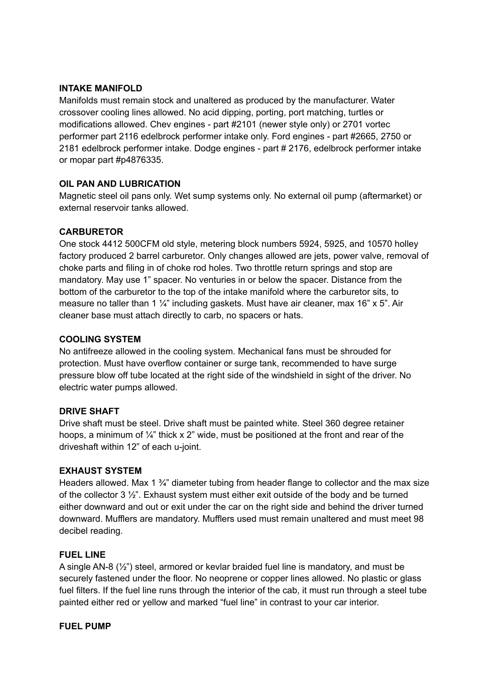## **INTAKE MANIFOLD**

Manifolds must remain stock and unaltered as produced by the manufacturer. Water crossover cooling lines allowed. No acid dipping, porting, port matching, turtles or modifications allowed. Chev engines - part #2101 (newer style only) or 2701 vortec performer part 2116 edelbrock performer intake only. Ford engines - part #2665, 2750 or 2181 edelbrock performer intake. Dodge engines - part # 2176, edelbrock performer intake or mopar part #p4876335.

## **OIL PAN AND LUBRICATION**

Magnetic steel oil pans only. Wet sump systems only. No external oil pump (aftermarket) or external reservoir tanks allowed.

## **CARBURETOR**

One stock 4412 500CFM old style, metering block numbers 5924, 5925, and 10570 holley factory produced 2 barrel carburetor. Only changes allowed are jets, power valve, removal of choke parts and filing in of choke rod holes. Two throttle return springs and stop are mandatory. May use 1" spacer. No venturies in or below the spacer. Distance from the bottom of the carburetor to the top of the intake manifold where the carburetor sits, to measure no taller than 1  $\frac{1}{4}$ " including gaskets. Must have air cleaner, max 16" x 5". Air cleaner base must attach directly to carb, no spacers or hats.

### **COOLING SYSTEM**

No antifreeze allowed in the cooling system. Mechanical fans must be shrouded for protection. Must have overflow container or surge tank, recommended to have surge pressure blow off tube located at the right side of the windshield in sight of the driver. No electric water pumps allowed.

### **DRIVE SHAFT**

Drive shaft must be steel. Drive shaft must be painted white. Steel 360 degree retainer hoops, a minimum of  $\frac{1}{4}$ " thick x 2" wide, must be positioned at the front and rear of the driveshaft within 12" of each u-joint.

### **EXHAUST SYSTEM**

Headers allowed. Max 1 $\frac{3}{4}$ " diameter tubing from header flange to collector and the max size of the collector 3 ½". Exhaust system must either exit outside of the body and be turned either downward and out or exit under the car on the right side and behind the driver turned downward. Mufflers are mandatory. Mufflers used must remain unaltered and must meet 98 decibel reading.

### **FUEL LINE**

A single AN-8 (½") steel, armored or kevlar braided fuel line is mandatory, and must be securely fastened under the floor. No neoprene or copper lines allowed. No plastic or glass fuel filters. If the fuel line runs through the interior of the cab, it must run through a steel tube painted either red or yellow and marked "fuel line" in contrast to your car interior.

### **FUEL PUMP**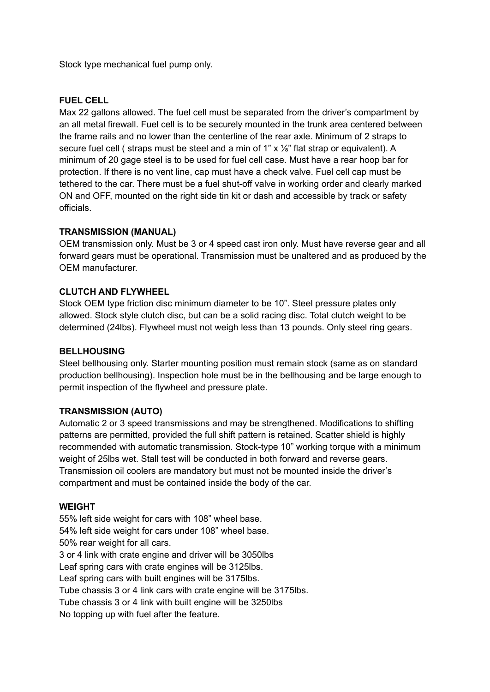Stock type mechanical fuel pump only.

# **FUEL CELL**

Max 22 gallons allowed. The fuel cell must be separated from the driver's compartment by an all metal firewall. Fuel cell is to be securely mounted in the trunk area centered between the frame rails and no lower than the centerline of the rear axle. Minimum of 2 straps to secure fuel cell ( straps must be steel and a min of 1" x 1/<sub>8</sub>" flat strap or equivalent). A minimum of 20 gage steel is to be used for fuel cell case. Must have a rear hoop bar for protection. If there is no vent line, cap must have a check valve. Fuel cell cap must be tethered to the car. There must be a fuel shut-off valve in working order and clearly marked ON and OFF, mounted on the right side tin kit or dash and accessible by track or safety officials.

# **TRANSMISSION (MANUAL)**

OEM transmission only. Must be 3 or 4 speed cast iron only. Must have reverse gear and all forward gears must be operational. Transmission must be unaltered and as produced by the OEM manufacturer.

## **CLUTCH AND FLYWHEEL**

Stock OEM type friction disc minimum diameter to be 10". Steel pressure plates only allowed. Stock style clutch disc, but can be a solid racing disc. Total clutch weight to be determined (24lbs). Flywheel must not weigh less than 13 pounds. Only steel ring gears.

### **BELLHOUSING**

Steel bellhousing only. Starter mounting position must remain stock (same as on standard production bellhousing). Inspection hole must be in the bellhousing and be large enough to permit inspection of the flywheel and pressure plate.

# **TRANSMISSION (AUTO)**

Automatic 2 or 3 speed transmissions and may be strengthened. Modifications to shifting patterns are permitted, provided the full shift pattern is retained. Scatter shield is highly recommended with automatic transmission. Stock-type 10" working torque with a minimum weight of 25lbs wet. Stall test will be conducted in both forward and reverse gears. Transmission oil coolers are mandatory but must not be mounted inside the driver's compartment and must be contained inside the body of the car.

### **WEIGHT**

55% left side weight for cars with 108" wheel base. 54% left side weight for cars under 108" wheel base. 50% rear weight for all cars. 3 or 4 link with crate engine and driver will be 3050lbs Leaf spring cars with crate engines will be 3125lbs. Leaf spring cars with built engines will be 3175lbs. Tube chassis 3 or 4 link cars with crate engine will be 3175lbs. Tube chassis 3 or 4 link with built engine will be 3250lbs No topping up with fuel after the feature.